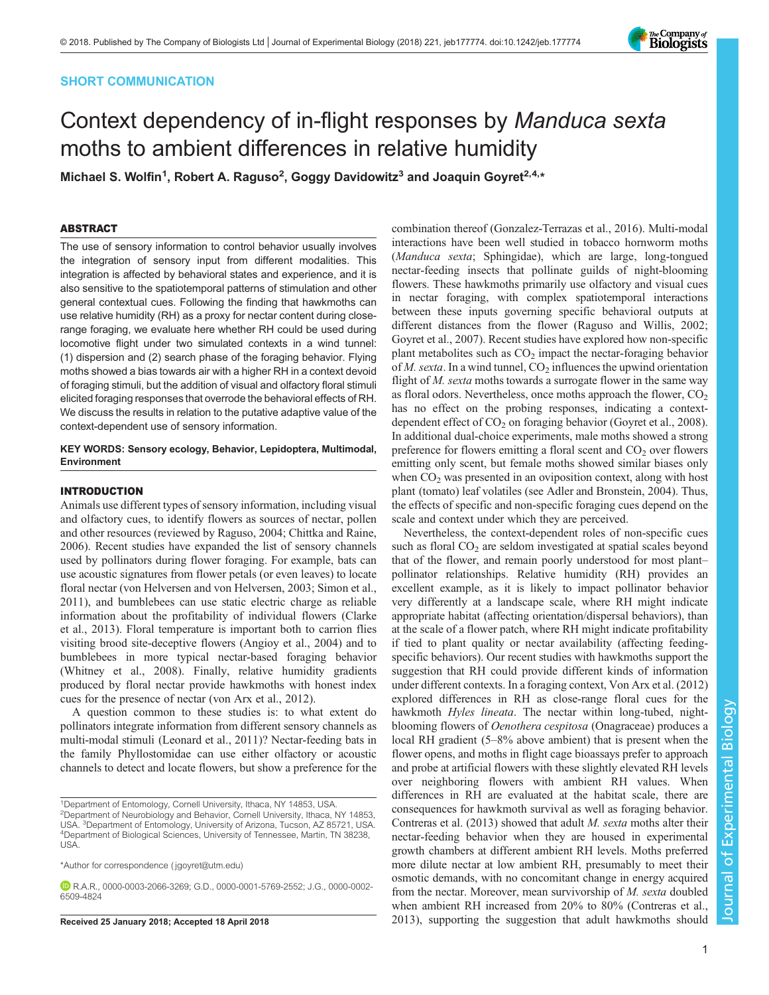### SHORT COMMUNICATION

# Context dependency of in-flight responses by Manduca sexta moths to ambient differences in relative humidity

Michael S. Wolfin<sup>1</sup>, Robert A. Raguso<sup>2</sup>, Goggy Davidowitz<sup>3</sup> and Joaquin Goyret<sup>2,4,</sup>\*

-----------<br>The use of sensory information to control behavior usually involves the integration of sensory input from different modalities. This integration is affected by behavioral states and experience, and it is also sensitive to the spatiotemporal patterns of stimulation and other general contextual cues. Following the finding that hawkmoths can use relative humidity (RH) as a proxy for nectar content during closerange foraging, we evaluate here whether RH could be used during locomotive flight under two simulated contexts in a wind tunnel: (1) dispersion and (2) search phase of the foraging behavior. Flying moths showed a bias towards air with a higher RH in a context devoid of foraging stimuli, but the addition of visual and olfactory floral stimuli elicited foraging responses that overrode the behavioral effects of RH. We discuss the results in relation to the putative adaptive value of the context-dependent use of sensory information.

### KEY WORDS: Sensory ecology, Behavior, Lepidoptera, Multimodal, Environment

Animals use different types of sensory information, including visual and olfactory cues, to identify flowers as sources of nectar, pollen and other resources (reviewed by [Raguso, 2004](#page-4-0); [Chittka and Raine,](#page-4-0) [2006](#page-4-0)). Recent studies have expanded the list of sensory channels used by pollinators during flower foraging. For example, bats can use acoustic signatures from flower petals (or even leaves) to locate floral nectar [\(von Helversen and von Helversen, 2003](#page-4-0); [Simon et al.,](#page-4-0) [2011](#page-4-0)), and bumblebees can use static electric charge as reliable information about the profitability of individual flowers [\(Clarke](#page-4-0) [et al., 2013\)](#page-4-0). Floral temperature is important both to carrion flies visiting brood site-deceptive flowers [\(Angioy et al., 2004](#page-4-0)) and to bumblebees in more typical nectar-based foraging behavior [\(Whitney et al., 2008\)](#page-4-0). Finally, relative humidity gradients produced by floral nectar provide hawkmoths with honest index cues for the presence of nectar ([von Arx et al., 2012](#page-4-0)).

A question common to these studies is: to what extent do pollinators integrate information from different sensory channels as multi-modal stimuli [\(Leonard et al., 2011](#page-4-0))? Nectar-feeding bats in the family Phyllostomidae can use either olfactory or acoustic channels to detect and locate flowers, but show a preference for the

combination thereof [\(Gonzalez-Terrazas et al., 2016](#page-4-0)). Multi-modal interactions have been well studied in tobacco hornworm moths (Manduca sexta; Sphingidae), which are large, long-tongued nectar-feeding insects that pollinate guilds of night-blooming flowers. These hawkmoths primarily use olfactory and visual cues in nectar foraging, with complex spatiotemporal interactions between these inputs governing specific behavioral outputs at different distances from the flower [\(Raguso and Willis, 2002](#page-4-0); [Goyret et al., 2007](#page-4-0)). Recent studies have explored how non-specific plant metabolites such as  $CO<sub>2</sub>$  impact the nectar-foraging behavior of M. sexta. In a wind tunnel,  $CO_2$  influences the upwind orientation flight of  $M$ . sexta moths towards a surrogate flower in the same way as floral odors. Nevertheless, once moths approach the flower,  $CO<sub>2</sub>$ has no effect on the probing responses, indicating a contextdependent effect of  $CO<sub>2</sub>$  on foraging behavior ([Goyret et al., 2008\)](#page-4-0). In additional dual-choice experiments, male moths showed a strong preference for flowers emitting a floral scent and  $CO<sub>2</sub>$  over flowers emitting only scent, but female moths showed similar biases only when  $CO<sub>2</sub>$  was presented in an oviposition context, along with host plant (tomato) leaf volatiles (see [Adler and Bronstein, 2004\)](#page-4-0). Thus, the effects of specific and non-specific foraging cues depend on the scale and context under which they are perceived.

Nevertheless, the context-dependent roles of non-specific cues such as floral  $CO<sub>2</sub>$  are seldom investigated at spatial scales beyond that of the flower, and remain poorly understood for most plant– pollinator relationships. Relative humidity (RH) provides an excellent example, as it is likely to impact pollinator behavior very differently at a landscape scale, where RH might indicate appropriate habitat (affecting orientation/dispersal behaviors), than at the scale of a flower patch, where RH might indicate profitability if tied to plant quality or nectar availability (affecting feedingspecific behaviors). Our recent studies with hawkmoths support the suggestion that RH could provide different kinds of information under different contexts. In a foraging context, [Von Arx et al. \(2012\)](#page-4-0) explored differences in RH as close-range floral cues for the hawkmoth *Hyles lineata*. The nectar within long-tubed, nightblooming flowers of Oenothera cespitosa (Onagraceae) produces a local RH gradient (5–8% above ambient) that is present when the flower opens, and moths in flight cage bioassays prefer to approach and probe at artificial flowers with these slightly elevated RH levels over neighboring flowers with ambient RH values. When differences in RH are evaluated at the habitat scale, there are consequences for hawkmoth survival as well as foraging behavior. [Contreras et al. \(2013\)](#page-4-0) showed that adult M. sexta moths alter their nectar-feeding behavior when they are housed in experimental growth chambers at different ambient RH levels. Moths preferred more dilute nectar at low ambient RH, presumably to meet their osmotic demands, with no concomitant change in energy acquired from the nectar. Moreover, mean survivorship of M. sexta doubled when ambient RH increased from 20% to 80% ([Contreras et al.,](#page-4-0) Received 25 January 2018; Accepted 18 April 2018 2013 [2013\)](#page-4-0), supporting the suggestion that adult hawkmoths should



<sup>&</sup>lt;sup>1</sup>Department of Entomology, Cornell University, Ithaca, NY 14853, USA. <sup>2</sup>Department of Neurobiology and Behavior, Cornell University, Ithaca, NY 14853, USA. <sup>3</sup> Department of Entomology, University of Arizona, Tucson, AZ 85721, USA. <sup>4</sup> Department of Biological Sciences, University of Tennessee, Martin, TN 38238, USA.

<sup>\*</sup>Author for correspondence [\( jgoyret@utm.edu\)](mailto:jgoyret@utm.edu)

R.A.R., [0000-0003-2066-3269;](http://orcid.org/0000-0003-2066-3269) G.D., [0000-0001-5769-2552](http://orcid.org/0000-0001-5769-2552); J.G., [0000-0002-](http://orcid.org/0000-0002-6509-4824) [6509-4824](http://orcid.org/0000-0002-6509-4824)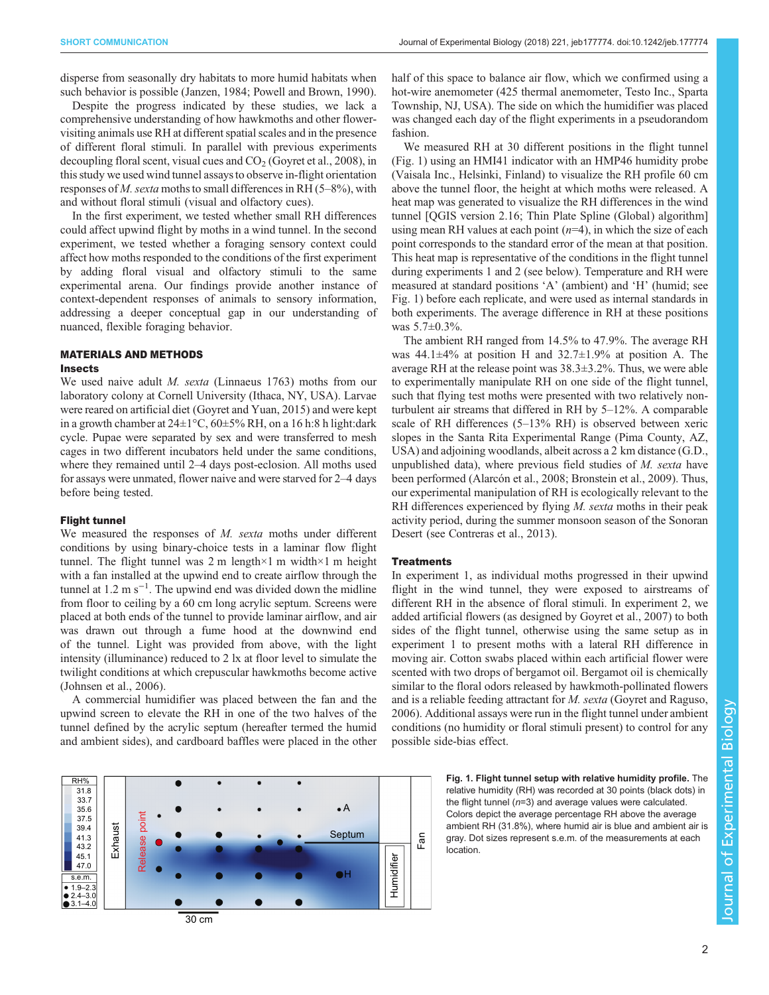<span id="page-1-0"></span>disperse from seasonally dry habitats to more humid habitats when such behavior is possible ([Janzen, 1984; Powell and Brown, 1990\)](#page-4-0).

Despite the progress indicated by these studies, we lack a comprehensive understanding of how hawkmoths and other flowervisiting animals use RH at different spatial scales and in the presence of different floral stimuli. In parallel with previous experiments decoupling floral scent, visual cues and  $CO<sub>2</sub>$  ([Goyret et al., 2008](#page-4-0)), in this study we used wind tunnel assays to observe in-flight orientation responses of M. sexta moths to small differences in RH (5–8%), with and without floral stimuli (visual and olfactory cues).

In the first experiment, we tested whether small RH differences could affect upwind flight by moths in a wind tunnel. In the second experiment, we tested whether a foraging sensory context could affect how moths responded to the conditions of the first experiment by adding floral visual and olfactory stimuli to the same experimental arena. Our findings provide another instance of context-dependent responses of animals to sensory information, addressing a deeper conceptual gap in our understanding of nuanced, flexible foraging behavior.

## MATERIALS AND METHODS

We used naive adult *M. sexta* (Linnaeus 1763) moths from our laboratory colony at Cornell University (Ithaca, NY, USA). Larvae were reared on artificial diet ([Goyret and Yuan, 2015\)](#page-4-0) and were kept in a growth chamber at  $24\pm1\degree C$ ,  $60\pm5\%$  RH, on a 16 h:8 h light:dark cycle. Pupae were separated by sex and were transferred to mesh cages in two different incubators held under the same conditions, where they remained until 2–4 days post-eclosion. All moths used for assays were unmated, flower naive and were starved for 2–4 days before being tested.

We measured the responses of  $M$ . sexta moths under different conditions by using binary-choice tests in a laminar flow flight tunnel. The flight tunnel was 2 m length  $\times$ 1 m width $\times$ 1 m height with a fan installed at the upwind end to create airflow through the tunnel at 1.2 m s−<sup>1</sup> . The upwind end was divided down the midline from floor to ceiling by a 60 cm long acrylic septum. Screens were placed at both ends of the tunnel to provide laminar airflow, and air was drawn out through a fume hood at the downwind end of the tunnel. Light was provided from above, with the light intensity (illuminance) reduced to 2 lx at floor level to simulate the twilight conditions at which crepuscular hawkmoths become active [\(Johnsen et al., 2006\)](#page-4-0).

A commercial humidifier was placed between the fan and the upwind screen to elevate the RH in one of the two halves of the tunnel defined by the acrylic septum (hereafter termed the humid and ambient sides), and cardboard baffles were placed in the other

half of this space to balance air flow, which we confirmed using a hot-wire anemometer (425 thermal anemometer, Testo Inc., Sparta Township, NJ, USA). The side on which the humidifier was placed was changed each day of the flight experiments in a pseudorandom fashion.

We measured RH at 30 different positions in the flight tunnel (Fig. 1) using an HMI41 indicator with an HMP46 humidity probe (Vaisala Inc., Helsinki, Finland) to visualize the RH profile 60 cm above the tunnel floor, the height at which moths were released. A heat map was generated to visualize the RH differences in the wind tunnel [QGIS version 2.16; Thin Plate Spline (Global) algorithm] using mean RH values at each point  $(n=4)$ , in which the size of each point corresponds to the standard error of the mean at that position. This heat map is representative of the conditions in the flight tunnel during experiments 1 and 2 (see below). Temperature and RH were measured at standard positions 'A' (ambient) and 'H' (humid; see Fig. 1) before each replicate, and were used as internal standards in both experiments. The average difference in RH at these positions was 5.7±0.3%.

The ambient RH ranged from 14.5% to 47.9%. The average RH was  $44.1 \pm 4\%$  at position H and  $32.7 \pm 1.9\%$  at position A. The average RH at the release point was 38.3±3.2%. Thus, we were able to experimentally manipulate RH on one side of the flight tunnel, such that flying test moths were presented with two relatively nonturbulent air streams that differed in RH by 5–12%. A comparable scale of RH differences (5–13% RH) is observed between xeric slopes in the Santa Rita Experimental Range (Pima County, AZ, USA) and adjoining woodlands, albeit across a 2 km distance (G.D., unpublished data), where previous field studies of  $M$ . sexta have been performed [\(Alarcón et al., 2008](#page-4-0); [Bronstein et al., 2009](#page-4-0)). Thus, our experimental manipulation of RH is ecologically relevant to the RH differences experienced by flying *M. sexta* moths in their peak activity period, during the summer monsoon season of the Sonoran Desert (see [Contreras et al., 2013\)](#page-4-0).

### **Treatments**

In experiment 1, as individual moths progressed in their upwind flight in the wind tunnel, they were exposed to airstreams of different RH in the absence of floral stimuli. In experiment 2, we added artificial flowers (as designed by [Goyret et al., 2007](#page-4-0)) to both sides of the flight tunnel, otherwise using the same setup as in experiment 1 to present moths with a lateral RH difference in moving air. Cotton swabs placed within each artificial flower were scented with two drops of bergamot oil. Bergamot oil is chemically similar to the floral odors released by hawkmoth-pollinated flowers and is a reliable feeding attractant for M. sexta [\(Goyret and Raguso,](#page-4-0) [2006\)](#page-4-0). Additional assays were run in the flight tunnel under ambient conditions (no humidity or floral stimuli present) to control for any possible side-bias effect.



Fig. 1. Flight tunnel setup with relative humidity profile. The relative humidity (RH) was recorded at 30 points (black dots) in the flight tunnel ( $n=3$ ) and average values were calculated. Colors depict the average percentage RH above the average ambient RH (31.8%), where humid air is blue and ambient air is gray. Dot sizes represent s.e.m. of the measurements at each location.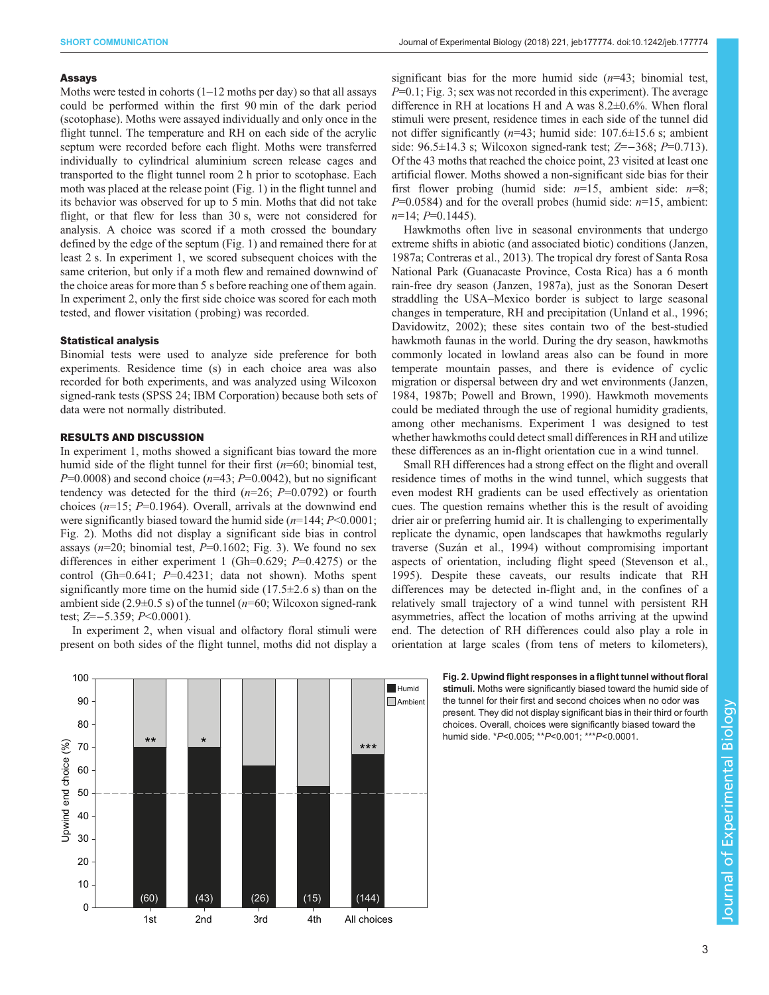Moths were tested in cohorts (1–12 moths per day) so that all assays could be performed within the first 90 min of the dark period (scotophase). Moths were assayed individually and only once in the flight tunnel. The temperature and RH on each side of the acrylic septum were recorded before each flight. Moths were transferred individually to cylindrical aluminium screen release cages and transported to the flight tunnel room 2 h prior to scotophase. Each moth was placed at the release point ([Fig. 1\)](#page-1-0) in the flight tunnel and its behavior was observed for up to 5 min. Moths that did not take flight, or that flew for less than 30 s, were not considered for analysis. A choice was scored if a moth crossed the boundary defined by the edge of the septum ([Fig. 1\)](#page-1-0) and remained there for at least 2 s. In experiment 1, we scored subsequent choices with the same criterion, but only if a moth flew and remained downwind of the choice areas for more than 5 s before reaching one of them again. In experiment 2, only the first side choice was scored for each moth tested, and flower visitation ( probing) was recorded.

Binomial tests were used to analyze side preference for both experiments. Residence time (s) in each choice area was also recorded for both experiments, and was analyzed using Wilcoxon signed-rank tests (SPSS 24; IBM Corporation) because both sets of data were not normally distributed.

In experiment 1, moths showed a significant bias toward the more humid side of the flight tunnel for their first  $(n=60;$  binomial test,  $P=0.0008$ ) and second choice ( $n=43$ ;  $P=0.0042$ ), but no significant tendency was detected for the third  $(n=26; P=0.0792)$  or fourth choices  $(n=15; P=0.1964)$ . Overall, arrivals at the downwind end were significantly biased toward the humid side  $(n=144; P<0.0001;$ Fig. 2). Moths did not display a significant side bias in control assays ( $n=20$ ; binomial test,  $P=0.1602$ ; [Fig. 3\)](#page-3-0). We found no sex differences in either experiment 1 (Gh=0.629;  $P=0.4275$ ) or the control (Gh=0.641;  $P=0.4231$ ; data not shown). Moths spent significantly more time on the humid side  $(17.5\pm 2.6 \text{ s})$  than on the ambient side (2.9 $\pm$ 0.5 s) of the tunnel (*n*=60; Wilcoxon signed-rank test; Z=−5.359; P<0.0001).

In experiment 2, when visual and olfactory floral stimuli were present on both sides of the flight tunnel, moths did not display a

significant bias for the more humid side  $(n=43;$  binomial test,  $P=0.1$ ; [Fig. 3](#page-3-0); sex was not recorded in this experiment). The average difference in RH at locations H and A was 8.2±0.6%. When floral stimuli were present, residence times in each side of the tunnel did not differ significantly ( $n=43$ ; humid side: 107.6 $\pm$ 15.6 s; ambient side: 96.5±14.3 s; Wilcoxon signed-rank test; Z=−368; P=0.713). Of the 43 moths that reached the choice point, 23 visited at least one artificial flower. Moths showed a non-significant side bias for their first flower probing (humid side:  $n=15$ , ambient side:  $n=8$ ;  $P=0.0584$ ) and for the overall probes (humid side:  $n=15$ , ambient:  $n=14$ ;  $P=0.1445$ ).

Hawkmoths often live in seasonal environments that undergo extreme shifts in abiotic (and associated biotic) conditions ([Janzen,](#page-4-0) [1987a](#page-4-0); [Contreras et al., 2013\)](#page-4-0). The tropical dry forest of Santa Rosa National Park (Guanacaste Province, Costa Rica) has a 6 month rain-free dry season ([Janzen, 1987a\)](#page-4-0), just as the Sonoran Desert straddling the USA–Mexico border is subject to large seasonal changes in temperature, RH and precipitation ([Unland et al., 1996](#page-4-0); [Davidowitz, 2002\)](#page-4-0); these sites contain two of the best-studied hawkmoth faunas in the world. During the dry season, hawkmoths commonly located in lowland areas also can be found in more temperate mountain passes, and there is evidence of cyclic migration or dispersal between dry and wet environments ([Janzen,](#page-4-0) [1984, 1987b](#page-4-0); [Powell and Brown, 1990\)](#page-4-0). Hawkmoth movements could be mediated through the use of regional humidity gradients, among other mechanisms. Experiment 1 was designed to test whether hawkmoths could detect small differences in RH and utilize these differences as an in-flight orientation cue in a wind tunnel.

Small RH differences had a strong effect on the flight and overall residence times of moths in the wind tunnel, which suggests that even modest RH gradients can be used effectively as orientation cues. The question remains whether this is the result of avoiding drier air or preferring humid air. It is challenging to experimentally replicate the dynamic, open landscapes that hawkmoths regularly traverse [\(Suzán et al., 1994](#page-4-0)) without compromising important aspects of orientation, including flight speed ([Stevenson et al.,](#page-4-0) [1995\)](#page-4-0). Despite these caveats, our results indicate that RH differences may be detected in-flight and, in the confines of a relatively small trajectory of a wind tunnel with persistent RH asymmetries, affect the location of moths arriving at the upwind end. The detection of RH differences could also play a role in orientation at large scales (from tens of meters to kilometers),



### Fig. 2. Upwind flight responses in a flight tunnel without floral stimuli. Moths were significantly biased toward the humid side of

the tunnel for their first and second choices when no odor was present. They did not display significant bias in their third or fourth choices. Overall, choices were significantly biased toward the humid side. \*P<0.005; \*\*P<0.001; \*\*\*P<0.0001.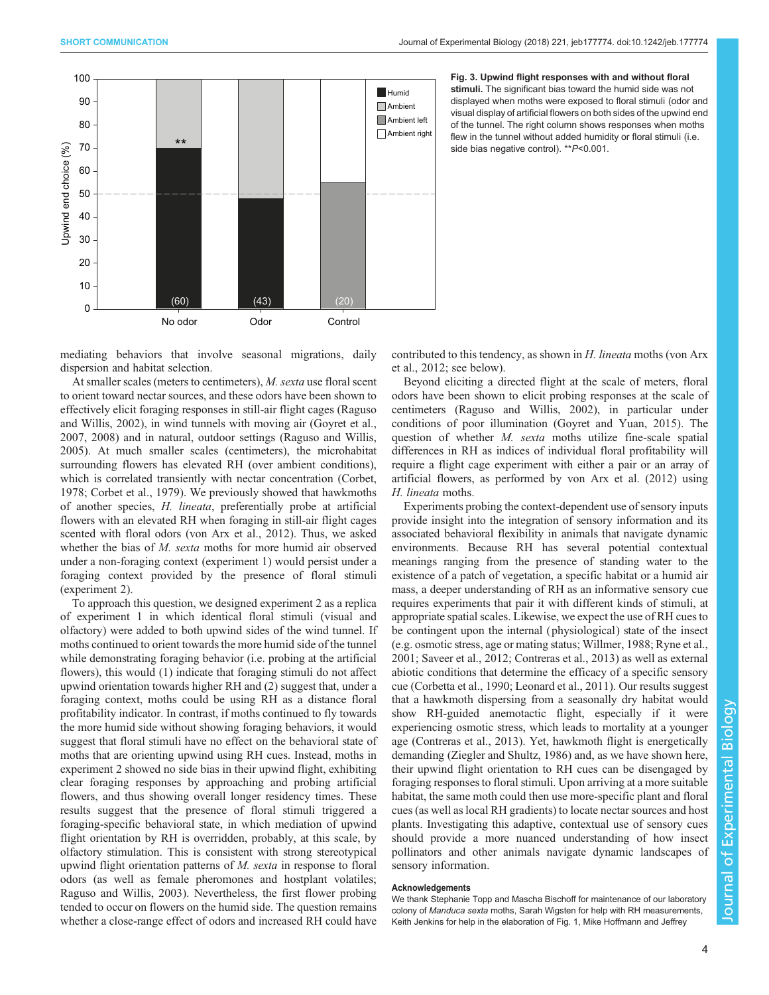<span id="page-3-0"></span>

Fig. 3. Upwind flight responses with and without floral stimuli. The significant bias toward the humid side was not displayed when moths were exposed to floral stimuli (odor and visual display of artificial flowers on both sides of the upwind end of the tunnel. The right column shows responses when moths flew in the tunnel without added humidity or floral stimuli (i.e. side bias negative control). \*\*P<0.001.

mediating behaviors that involve seasonal migrations, daily dispersion and habitat selection.

At smaller scales (meters to centimeters), M. sexta use floral scent to orient toward nectar sources, and these odors have been shown to effectively elicit foraging responses in still-air flight cages ([Raguso](#page-4-0) [and Willis, 2002\)](#page-4-0), in wind tunnels with moving air ([Goyret et al.,](#page-4-0) [2007](#page-4-0), [2008\)](#page-4-0) and in natural, outdoor settings ([Raguso and Willis,](#page-4-0) [2005](#page-4-0)). At much smaller scales (centimeters), the microhabitat surrounding flowers has elevated RH (over ambient conditions), which is correlated transiently with nectar concentration [\(Corbet,](#page-4-0) [1978](#page-4-0); [Corbet et al., 1979](#page-4-0)). We previously showed that hawkmoths of another species, H. lineata, preferentially probe at artificial flowers with an elevated RH when foraging in still-air flight cages scented with floral odors ([von Arx et al., 2012\)](#page-4-0). Thus, we asked whether the bias of M. sexta moths for more humid air observed under a non-foraging context (experiment 1) would persist under a foraging context provided by the presence of floral stimuli (experiment 2).

To approach this question, we designed experiment 2 as a replica of experiment 1 in which identical floral stimuli (visual and olfactory) were added to both upwind sides of the wind tunnel. If moths continued to orient towards the more humid side of the tunnel while demonstrating foraging behavior (i.e. probing at the artificial flowers), this would (1) indicate that foraging stimuli do not affect upwind orientation towards higher RH and (2) suggest that, under a foraging context, moths could be using RH as a distance floral profitability indicator. In contrast, if moths continued to fly towards the more humid side without showing foraging behaviors, it would suggest that floral stimuli have no effect on the behavioral state of moths that are orienting upwind using RH cues. Instead, moths in experiment 2 showed no side bias in their upwind flight, exhibiting clear foraging responses by approaching and probing artificial flowers, and thus showing overall longer residency times. These results suggest that the presence of floral stimuli triggered a foraging-specific behavioral state, in which mediation of upwind flight orientation by RH is overridden, probably, at this scale, by olfactory stimulation. This is consistent with strong stereotypical upwind flight orientation patterns of M. sexta in response to floral odors (as well as female pheromones and hostplant volatiles; [Raguso and Willis, 2003](#page-4-0)). Nevertheless, the first flower probing tended to occur on flowers on the humid side. The question remains whether a close-range effect of odors and increased RH could have

contributed to this tendency, as shown in H. lineata moths [\(von Arx](#page-4-0) [et al., 2012;](#page-4-0) see below).

Beyond eliciting a directed flight at the scale of meters, floral odors have been shown to elicit probing responses at the scale of centimeters [\(Raguso and Willis, 2002\)](#page-4-0), in particular under conditions of poor illumination ([Goyret and Yuan, 2015](#page-4-0)). The question of whether *M. sexta* moths utilize fine-scale spatial differences in RH as indices of individual floral profitability will require a flight cage experiment with either a pair or an array of artificial flowers, as performed by [von Arx et al. \(2012\)](#page-4-0) using H. lineata moths.

Experiments probing the context-dependent use of sensory inputs provide insight into the integration of sensory information and its associated behavioral flexibility in animals that navigate dynamic environments. Because RH has several potential contextual meanings ranging from the presence of standing water to the existence of a patch of vegetation, a specific habitat or a humid air mass, a deeper understanding of RH as an informative sensory cue requires experiments that pair it with different kinds of stimuli, at appropriate spatial scales. Likewise, we expect the use of RH cues to be contingent upon the internal ( physiological) state of the insect (e.g. osmotic stress, age or mating status; [Willmer, 1988](#page-4-0); [Ryne et al.,](#page-4-0) [2001; Saveer et al., 2012](#page-4-0); [Contreras et al., 2013](#page-4-0)) as well as external abiotic conditions that determine the efficacy of a specific sensory cue [\(Corbetta et al., 1990; Leonard et al., 2011](#page-4-0)). Our results suggest that a hawkmoth dispersing from a seasonally dry habitat would show RH-guided anemotactic flight, especially if it were experiencing osmotic stress, which leads to mortality at a younger age [\(Contreras et al., 2013](#page-4-0)). Yet, hawkmoth flight is energetically demanding [\(Ziegler and Shultz, 1986](#page-4-0)) and, as we have shown here, their upwind flight orientation to RH cues can be disengaged by foraging responses to floral stimuli. Upon arriving at a more suitable habitat, the same moth could then use more-specific plant and floral cues (as well as local RH gradients) to locate nectar sources and host plants. Investigating this adaptive, contextual use of sensory cues should provide a more nuanced understanding of how insect pollinators and other animals navigate dynamic landscapes of sensory information.

### Acknowledgements

We thank Stephanie Topp and Mascha Bischoff for maintenance of our laboratory colony of Manduca sexta moths, Sarah Wigsten for help with RH measurements, Keith Jenkins for help in the elaboration of [Fig. 1,](#page-1-0) Mike Hoffmann and Jeffrey